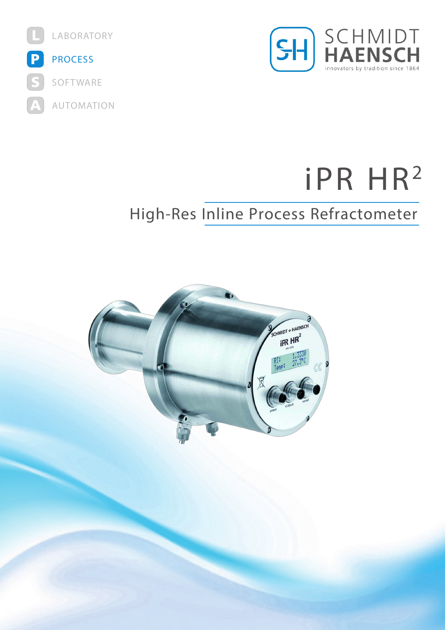



## iPR HR 2

## High-Res Inline Process Refractometer